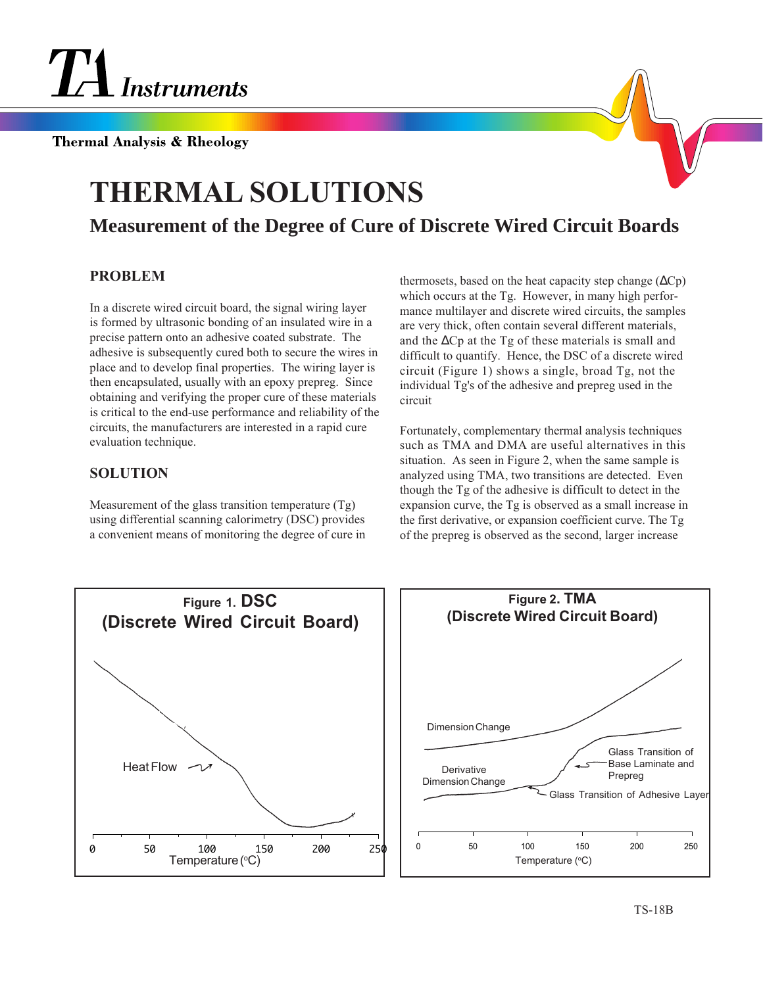

**Thermal Analysis & Rheology** 

## **THERMAL SOLUTIONS**

## **Measurement of the Degree of Cure of Discrete Wired Circuit Boards**

## **PROBLEM**

In a discrete wired circuit board, the signal wiring layer is formed by ultrasonic bonding of an insulated wire in a precise pattern onto an adhesive coated substrate. The adhesive is subsequently cured both to secure the wires in place and to develop final properties. The wiring layer is then encapsulated, usually with an epoxy prepreg. Since obtaining and verifying the proper cure of these materials is critical to the end-use performance and reliability of the circuits, the manufacturers are interested in a rapid cure evaluation technique.

## **SOLUTION**

Measurement of the glass transition temperature (Tg) using differential scanning calorimetry (DSC) provides a convenient means of monitoring the degree of cure in thermosets, based on the heat capacity step change  $(\Delta Cp)$ which occurs at the Tg. However, in many high performance multilayer and discrete wired circuits, the samples are very thick, often contain several different materials, and the ∆Cp at the Tg of these materials is small and difficult to quantify. Hence, the DSC of a discrete wired circuit (Figure 1) shows a single, broad Tg, not the individual Tg's of the adhesive and prepreg used in the circuit

Fortunately, complementary thermal analysis techniques such as TMA and DMA are useful alternatives in this situation. As seen in Figure 2, when the same sample is analyzed using TMA, two transitions are detected. Even though the Tg of the adhesive is difficult to detect in the expansion curve, the Tg is observed as a small increase in the first derivative, or expansion coefficient curve. The Tg of the prepreg is observed as the second, larger increase